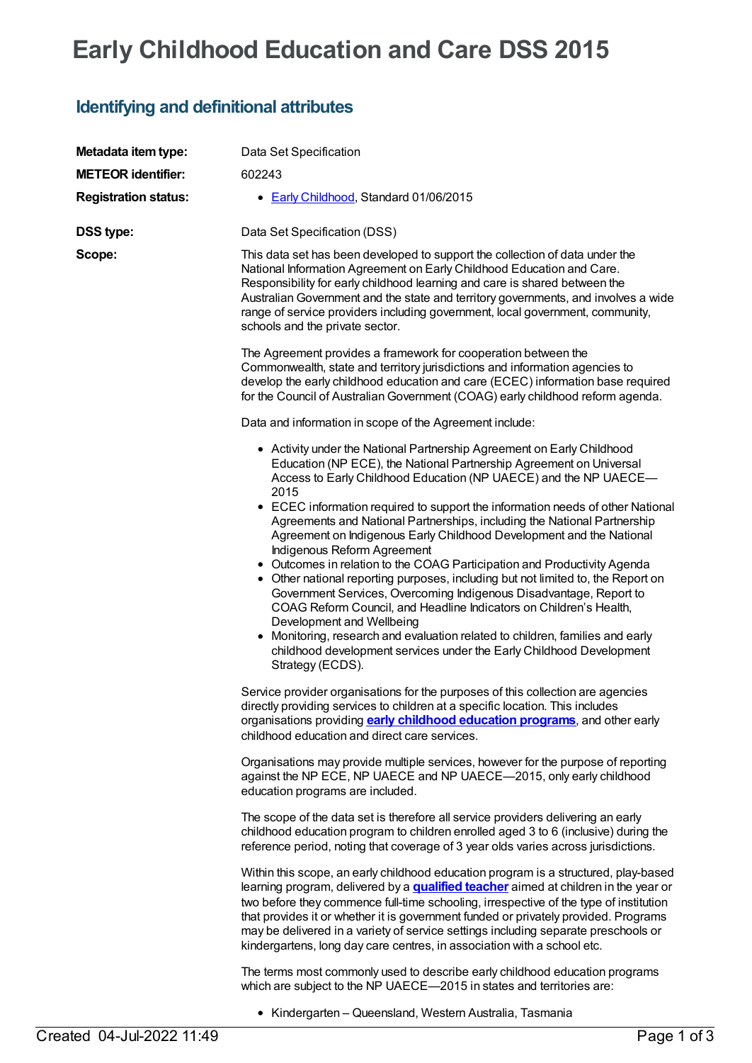# **Early Childhood Education and Care DSS 2015**

### **Identifying and definitional attributes**

| Metadata item type:         | Data Set Specification                                                                                                                                                                                                                                                                                                                                                                                                                                                                                                                                                                                                                                                                                                                                                                                                                                                                                                                                                                                             |
|-----------------------------|--------------------------------------------------------------------------------------------------------------------------------------------------------------------------------------------------------------------------------------------------------------------------------------------------------------------------------------------------------------------------------------------------------------------------------------------------------------------------------------------------------------------------------------------------------------------------------------------------------------------------------------------------------------------------------------------------------------------------------------------------------------------------------------------------------------------------------------------------------------------------------------------------------------------------------------------------------------------------------------------------------------------|
| <b>METEOR identifier:</b>   | 602243                                                                                                                                                                                                                                                                                                                                                                                                                                                                                                                                                                                                                                                                                                                                                                                                                                                                                                                                                                                                             |
| <b>Registration status:</b> | • Early Childhood, Standard 01/06/2015                                                                                                                                                                                                                                                                                                                                                                                                                                                                                                                                                                                                                                                                                                                                                                                                                                                                                                                                                                             |
| <b>DSS type:</b>            | Data Set Specification (DSS)                                                                                                                                                                                                                                                                                                                                                                                                                                                                                                                                                                                                                                                                                                                                                                                                                                                                                                                                                                                       |
| Scope:                      | This data set has been developed to support the collection of data under the<br>National Information Agreement on Early Childhood Education and Care.<br>Responsibility for early childhood learning and care is shared between the<br>Australian Government and the state and territory governments, and involves a wide<br>range of service providers including government, local government, community,<br>schools and the private sector.                                                                                                                                                                                                                                                                                                                                                                                                                                                                                                                                                                      |
|                             | The Agreement provides a framework for cooperation between the<br>Commonwealth, state and territory jurisdictions and information agencies to<br>develop the early childhood education and care (ECEC) information base required<br>for the Council of Australian Government (COAG) early childhood reform agenda.                                                                                                                                                                                                                                                                                                                                                                                                                                                                                                                                                                                                                                                                                                 |
|                             | Data and information in scope of the Agreement include:                                                                                                                                                                                                                                                                                                                                                                                                                                                                                                                                                                                                                                                                                                                                                                                                                                                                                                                                                            |
|                             | • Activity under the National Partnership Agreement on Early Childhood<br>Education (NP ECE), the National Partnership Agreement on Universal<br>Access to Early Childhood Education (NP UAECE) and the NP UAECE-<br>2015<br>• ECEC information required to support the information needs of other National<br>Agreements and National Partnerships, including the National Partnership<br>Agreement on Indigenous Early Childhood Development and the National<br>Indigenous Reform Agreement<br>• Outcomes in relation to the COAG Participation and Productivity Agenda<br>• Other national reporting purposes, including but not limited to, the Report on<br>Government Services, Overcoming Indigenous Disadvantage, Report to<br>COAG Reform Council, and Headline Indicators on Children's Health,<br>Development and Wellbeing<br>Monitoring, research and evaluation related to children, families and early<br>childhood development services under the Early Childhood Development<br>Strategy (ECDS). |
|                             | Service provider organisations for the purposes of this collection are agencies<br>directly providing services to children at a specific location. This includes<br>organisations providing <b>early childhood education programs</b> , and other early<br>childhood education and direct care services.                                                                                                                                                                                                                                                                                                                                                                                                                                                                                                                                                                                                                                                                                                           |
|                             | Organisations may provide multiple services, however for the purpose of reporting<br>against the NP ECE, NP UAECE and NP UAECE-2015, only early childhood<br>education programs are included.                                                                                                                                                                                                                                                                                                                                                                                                                                                                                                                                                                                                                                                                                                                                                                                                                      |
|                             | The scope of the data set is therefore all service providers delivering an early<br>childhood education program to children enrolled aged 3 to 6 (inclusive) during the<br>reference period, noting that coverage of 3 year olds varies across jurisdictions.                                                                                                                                                                                                                                                                                                                                                                                                                                                                                                                                                                                                                                                                                                                                                      |
|                             | Within this scope, an early childhood education program is a structured, play-based<br>learning program, delivered by a <b>qualified teacher</b> aimed at children in the year or<br>two before they commence full-time schooling, irrespective of the type of institution<br>that provides it or whether it is government funded or privately provided. Programs<br>may be delivered in a variety of service settings including separate preschools or<br>kindergartens, long day care centres, in association with a school etc.                                                                                                                                                                                                                                                                                                                                                                                                                                                                                 |
|                             | The terms most commonly used to describe early childhood education programs<br>which are subject to the NP UAECE-2015 in states and territories are:                                                                                                                                                                                                                                                                                                                                                                                                                                                                                                                                                                                                                                                                                                                                                                                                                                                               |

• Kindergarten – Queensland, Western Australia, Tasmania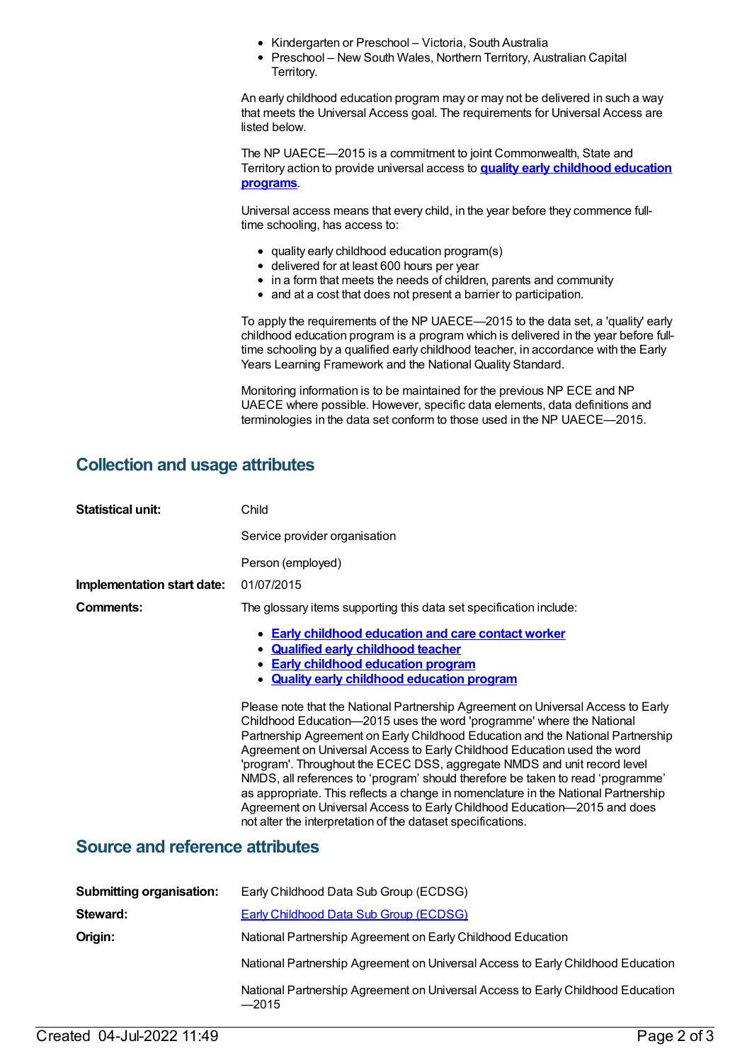- Kindergarten or Preschool Victoria, South Australia
- Preschool New South Wales, Northern Territory, Australian Capital Territory.

An early childhood education program may or may not be delivered in such a way that meets the Universal Access goal. The requirements for Universal Access are listed below.

The NP UAECE—2015 is a commitment to joint Commonwealth, State and Territory action to provide universal access to **quality early [childhood](https://meteor.aihw.gov.au/content/606533) education programs**.

Universal access means that every child, in the year before they commence fulltime schooling, has access to:

- quality early childhood education program(s)
- delivered for at least 600 hours per year
- in a form that meets the needs of children, parents and community
- and at a cost that does not present a barrier to participation.

To apply the requirements of the NP UAECE—2015 to the data set, a 'quality' early childhood education program is a program which is delivered in the year before fulltime schooling by a qualified early childhood teacher, in accordance with the Early Years Learning Framework and the National Quality Standard.

Monitoring information is to be maintained for the previous NP ECE and NP UAECE where possible. However, specific data elements, data definitions and terminologies in the data set conform to those used in the NP UAECE—2015.

#### **Collection and usage attributes**

| <b>Statistical unit:</b>               | Child                                                                                                                                                                                                                                                                                                                                                                                                                                                                                                                                                                                                                                                                                                                    |  |  |
|----------------------------------------|--------------------------------------------------------------------------------------------------------------------------------------------------------------------------------------------------------------------------------------------------------------------------------------------------------------------------------------------------------------------------------------------------------------------------------------------------------------------------------------------------------------------------------------------------------------------------------------------------------------------------------------------------------------------------------------------------------------------------|--|--|
|                                        | Service provider organisation                                                                                                                                                                                                                                                                                                                                                                                                                                                                                                                                                                                                                                                                                            |  |  |
|                                        | Person (employed)                                                                                                                                                                                                                                                                                                                                                                                                                                                                                                                                                                                                                                                                                                        |  |  |
| Implementation start date:             | 01/07/2015                                                                                                                                                                                                                                                                                                                                                                                                                                                                                                                                                                                                                                                                                                               |  |  |
| Comments:                              | The glossary items supporting this data set specification include:                                                                                                                                                                                                                                                                                                                                                                                                                                                                                                                                                                                                                                                       |  |  |
|                                        | • Early childhood education and care contact worker<br>• Qualified early childhood teacher<br>• Early childhood education program<br>• Quality early childhood education program                                                                                                                                                                                                                                                                                                                                                                                                                                                                                                                                         |  |  |
|                                        | Please note that the National Partnership Agreement on Universal Access to Early<br>Childhood Education-2015 uses the word 'programme' where the National<br>Partnership Agreement on Early Childhood Education and the National Partnership<br>Agreement on Universal Access to Early Childhood Education used the word<br>'program'. Throughout the ECEC DSS, aggregate NMDS and unit record level<br>NMDS, all references to 'program' should therefore be taken to read 'programme'<br>as appropriate. This reflects a change in nomenclature in the National Partnership<br>Agreement on Universal Access to Early Childhood Education-2015 and does<br>not alter the interpretation of the dataset specifications. |  |  |
| <b>Source and reference attributes</b> |                                                                                                                                                                                                                                                                                                                                                                                                                                                                                                                                                                                                                                                                                                                          |  |  |

| <b>Submitting organisation:</b> | Early Childhood Data Sub Group (ECDSG)                                                     |  |
|---------------------------------|--------------------------------------------------------------------------------------------|--|
| Steward:                        | <b>Early Childhood Data Sub Group (ECDSG)</b>                                              |  |
| Origin:                         | National Partnership Agreement on Early Childhood Education                                |  |
|                                 | National Partnership Agreement on Universal Access to Early Childhood Education            |  |
|                                 | National Partnership Agreement on Universal Access to Early Childhood Education<br>$-2015$ |  |
|                                 |                                                                                            |  |